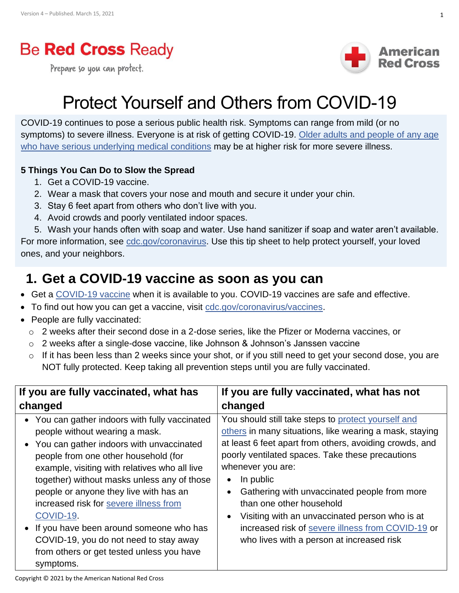## **Be Red Cross Ready**

Prepare so you can protect.



# Protect Yourself and Others from COVID-19

COVID-19 continues to pose a serious public health risk. Symptoms can range from mild (or no symptoms) to severe illness. Everyone is at risk of getting COVID-19. [Older adults and people of any age](https://www.cdc.gov/coronavirus/2019-ncov/need-extra-precautions/people-at-higher-risk.html)  [who have serious underlying medical conditions](https://www.cdc.gov/coronavirus/2019-ncov/need-extra-precautions/people-at-higher-risk.html) may be at higher risk for more severe illness.

#### **5 Things You Can Do to Slow the Spread**

- 1. Get a COVID-19 vaccine.
- 2. Wear a mask that covers your nose and mouth and secure it under your chin.
- 3. Stay 6 feet apart from others who don't live with you.
- 4. Avoid crowds and poorly ventilated indoor spaces.

5. Wash your hands often with soap and water. Use hand sanitizer if soap and water aren't available.

For more information, see [cdc.gov/coronavirus.](https://www.cdc.gov/coronavirus/2019-ncov/index.html?CDC_AA_refVal=https%3A%2F%2Fwww.cdc.gov%2Fcoronavirus%2Findex.html) Use this tip sheet to help protect yourself, your loved ones, and your neighbors.

#### **1. Get a COVID-19 vaccine as soon as you can**

- Get a [COVID-19 vaccine](https://www.cdc.gov/coronavirus/2019-ncov/vaccines/keythingstoknow.html) when it is available to you. COVID-19 vaccines are safe and effective.
- To find out how you can get a vaccine, visit [cdc.gov/coronavirus/vaccines.](https://www.cdc.gov/coronavirus/2019-ncov/vaccines/index.html?CDC_AA_refVal=https%3A%2F%2Fwww.cdc.gov%2Fcoronavirus%2Fvaccine%2Findex.html)
- People are fully vaccinated:
	- o 2 weeks after their second dose in a 2-dose series, like the Pfizer or Moderna vaccines, or
	- o 2 weeks after a single-dose vaccine, like Johnson & Johnson's Janssen vaccine
	- o If it has been less than 2 weeks since your shot, or if you still need to get your second dose, you are NOT fully protected. Keep taking all prevention steps until you are fully vaccinated.

| If you are fully vaccinated, what has                                                                                                                                                                                                                                                                                                                                                                                                                                                                                    | If you are fully vaccinated, what has not                                                                                                                                                                                                                                                                                                                                                                                                                                                       |
|--------------------------------------------------------------------------------------------------------------------------------------------------------------------------------------------------------------------------------------------------------------------------------------------------------------------------------------------------------------------------------------------------------------------------------------------------------------------------------------------------------------------------|-------------------------------------------------------------------------------------------------------------------------------------------------------------------------------------------------------------------------------------------------------------------------------------------------------------------------------------------------------------------------------------------------------------------------------------------------------------------------------------------------|
| changed                                                                                                                                                                                                                                                                                                                                                                                                                                                                                                                  | changed                                                                                                                                                                                                                                                                                                                                                                                                                                                                                         |
| • You can gather indoors with fully vaccinated<br>people without wearing a mask.<br>• You can gather indoors with unvaccinated<br>people from one other household (for<br>example, visiting with relatives who all live<br>together) without masks unless any of those<br>people or anyone they live with has an<br>increased risk for severe illness from<br>COVID-19.<br>• If you have been around someone who has<br>COVID-19, you do not need to stay away<br>from others or get tested unless you have<br>symptoms. | You should still take steps to protect yourself and<br>others in many situations, like wearing a mask, staying<br>at least 6 feet apart from others, avoiding crowds, and<br>poorly ventilated spaces. Take these precautions<br>whenever you are:<br>In public<br>Gathering with unvaccinated people from more<br>than one other household<br>Visiting with an unvaccinated person who is at<br>increased risk of severe illness from COVID-19 or<br>who lives with a person at increased risk |